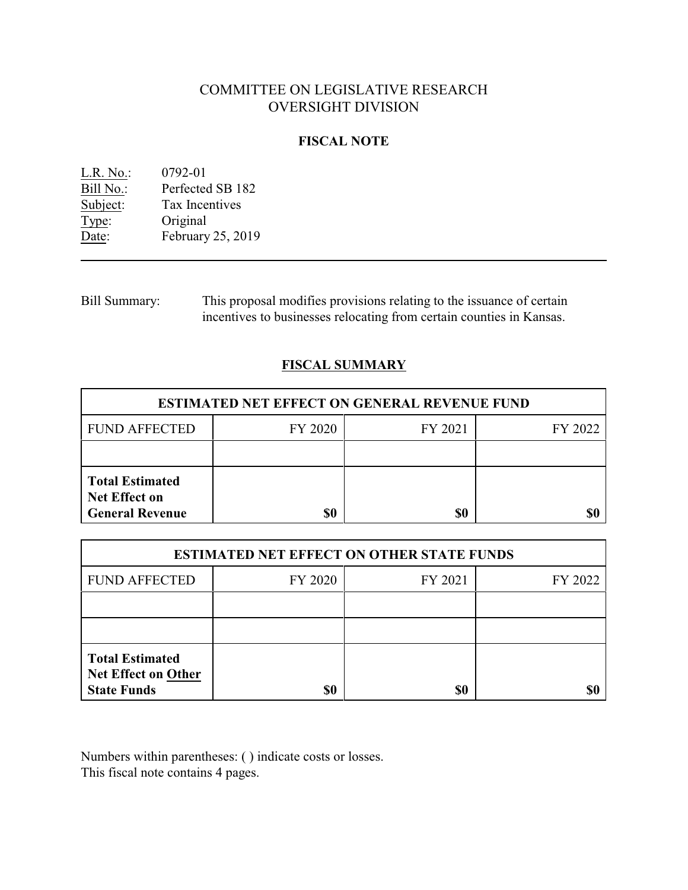# COMMITTEE ON LEGISLATIVE RESEARCH OVERSIGHT DIVISION

## **FISCAL NOTE**

<u>L.R. No.</u>: 0792-01<br>Bill No.: Perfected Bill No.: Perfected SB 182<br>Subject: Tax Incentives Tax Incentives Type: Original Date: February 25, 2019

Bill Summary: This proposal modifies provisions relating to the issuance of certain incentives to businesses relocating from certain counties in Kansas.

## **FISCAL SUMMARY**

| <b>ESTIMATED NET EFFECT ON GENERAL REVENUE FUND</b>                      |         |         |         |  |
|--------------------------------------------------------------------------|---------|---------|---------|--|
| <b>FUND AFFECTED</b>                                                     | FY 2020 | FY 2021 | FY 2022 |  |
|                                                                          |         |         |         |  |
| <b>Total Estimated</b><br><b>Net Effect on</b><br><b>General Revenue</b> | \$0     | \$0     |         |  |

| <b>ESTIMATED NET EFFECT ON OTHER STATE FUNDS</b>                           |         |         |         |  |
|----------------------------------------------------------------------------|---------|---------|---------|--|
| <b>FUND AFFECTED</b>                                                       | FY 2020 | FY 2021 | FY 2022 |  |
|                                                                            |         |         |         |  |
|                                                                            |         |         |         |  |
| <b>Total Estimated</b><br><b>Net Effect on Other</b><br><b>State Funds</b> | \$0     | \$0     |         |  |

Numbers within parentheses: ( ) indicate costs or losses. This fiscal note contains 4 pages.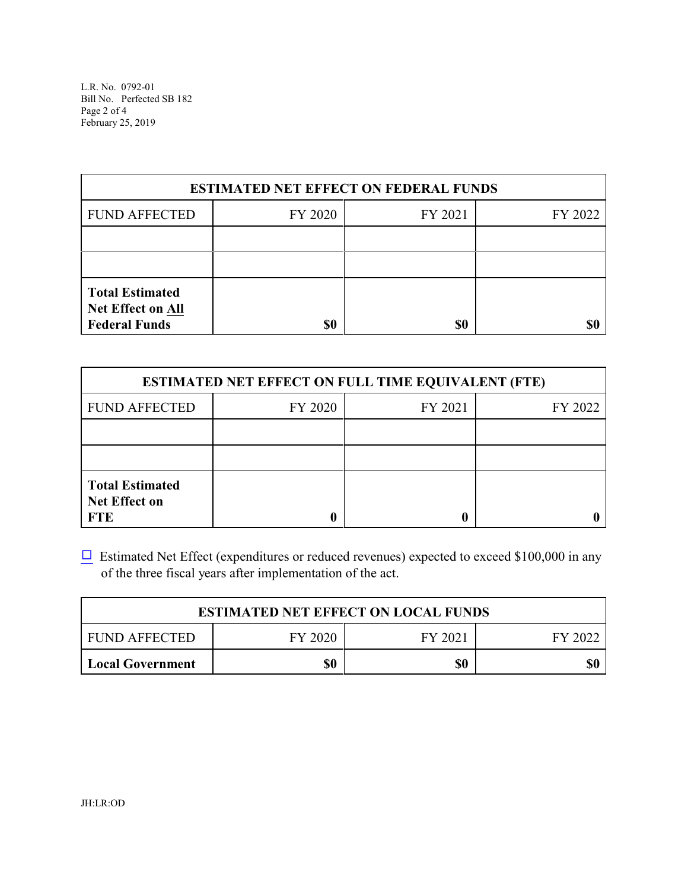L.R. No. 0792-01 Bill No. Perfected SB 182 Page 2 of 4 February 25, 2019

| <b>ESTIMATED NET EFFECT ON FEDERAL FUNDS</b>                               |         |         |         |  |
|----------------------------------------------------------------------------|---------|---------|---------|--|
| <b>FUND AFFECTED</b>                                                       | FY 2020 | FY 2021 | FY 2022 |  |
|                                                                            |         |         |         |  |
|                                                                            |         |         |         |  |
| <b>Total Estimated</b><br><b>Net Effect on All</b><br><b>Federal Funds</b> | \$0     | \$0     |         |  |

| <b>ESTIMATED NET EFFECT ON FULL TIME EQUIVALENT (FTE)</b>    |         |         |         |  |
|--------------------------------------------------------------|---------|---------|---------|--|
| <b>FUND AFFECTED</b>                                         | FY 2020 | FY 2021 | FY 2022 |  |
|                                                              |         |         |         |  |
|                                                              |         |         |         |  |
| <b>Total Estimated</b><br><b>Net Effect on</b><br><b>FTE</b> |         |         |         |  |

 $\Box$  Estimated Net Effect (expenditures or reduced revenues) expected to exceed \$100,000 in any of the three fiscal years after implementation of the act.

| <b>ESTIMATED NET EFFECT ON LOCAL FUNDS</b> |         |         |         |
|--------------------------------------------|---------|---------|---------|
| FUND AFFECTED                              | FY 2020 | FY 2021 | FY 2022 |
| Local Government                           | \$0     | \$0     |         |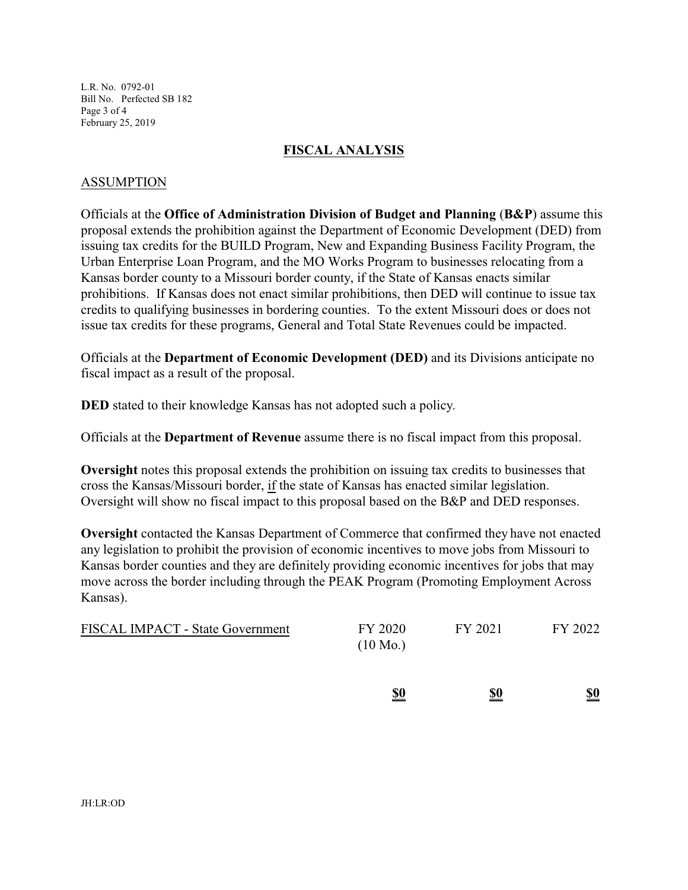L.R. No. 0792-01 Bill No. Perfected SB 182 Page 3 of 4 February 25, 2019

#### **FISCAL ANALYSIS**

## ASSUMPTION

Officials at the **Office of Administration Division of Budget and Planning** (**B&P**) assume this proposal extends the prohibition against the Department of Economic Development (DED) from issuing tax credits for the BUILD Program, New and Expanding Business Facility Program, the Urban Enterprise Loan Program, and the MO Works Program to businesses relocating from a Kansas border county to a Missouri border county, if the State of Kansas enacts similar prohibitions. If Kansas does not enact similar prohibitions, then DED will continue to issue tax credits to qualifying businesses in bordering counties. To the extent Missouri does or does not issue tax credits for these programs, General and Total State Revenues could be impacted.

Officials at the **Department of Economic Development (DED)** and its Divisions anticipate no fiscal impact as a result of the proposal.

**DED** stated to their knowledge Kansas has not adopted such a policy.

Officials at the **Department of Revenue** assume there is no fiscal impact from this proposal.

**Oversight** notes this proposal extends the prohibition on issuing tax credits to businesses that cross the Kansas/Missouri border, if the state of Kansas has enacted similar legislation. Oversight will show no fiscal impact to this proposal based on the B&P and DED responses.

**Oversight** contacted the Kansas Department of Commerce that confirmed they have not enacted any legislation to prohibit the provision of economic incentives to move jobs from Missouri to Kansas border counties and they are definitely providing economic incentives for jobs that may move across the border including through the PEAK Program (Promoting Employment Across Kansas).

| <b>FISCAL IMPACT - State Government</b> | FY 2020<br>$(10 \text{ Mo.})$ | FY 2021 | FY 2022 |
|-----------------------------------------|-------------------------------|---------|---------|
|                                         |                               |         |         |

**\$0 \$0 \$0**